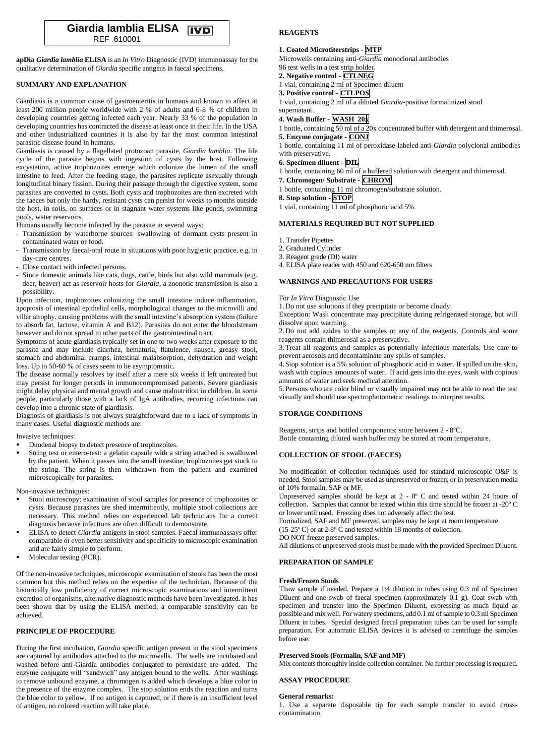

**apDia** *Giardia lamblia* **ELISA** is an *In Vitro* Diagnostic (IVD) immunoassay for the qualitative determination of *Giardia* specific antigens in faecal specimens.

## **SUMMARY AND EXPLANATION**

Giardiasis is a common cause of gastroenteritis in humans and known to affect at least 200 million people worldwide with 2 % of adults and 6-8 % of children in developing countries getting infected each year. Nearly 33 % of the population in developing countries has contracted the disease at least once in their life. In the USA and other industrialized countries it is also by far the most common intestinal parasitic disease found in humans.

Giardiasis is caused by a flagellated protozoan parasite, *Giardia lamblia*. The life cycle of the parasite begins with ingestion of cysts by the host. Following excystation, active trophozoites emerge which colonize the lumen of the small intestine to feed. After the feeding stage, the parasites replicate asexually through longitudinal binary fission. During their passage through the digestive system, some parasites are converted to cysts. Both cysts and trophozoites are then excreted with the faeces but only the hardy, resistant cysts can persist for weeks to months outside the host, in soils, on surfaces or in stagnant water systems like ponds, swimming pools, water reservoirs.

Humans usually become infected by the parasite in several ways:

- Transmission by waterborne sources: swallowing of dormant cysts present in contaminated water or food.
- Transmission by faecal-oral route in situations with poor hygienic practice, e.g. in day-care centres.
- Close contact with infected persons.
- Since domestic animals like cats, dogs, cattle, birds but also wild mammals (e.g. deer, beaver) act as reservoir hosts for *Giardia*, a zoonotic transmission is also a possibility.

Upon infection, trophozoites colonizing the small intestine induce inflammation, apoptosis of intestinal epithelial cells, morphological changes to the microvilli and villar atrophy, causing problems with the small intestine's absorption system (failure to absorb fat, lactose, vitamin A and B12). Parasites do not enter the bloodstream however and do not spread to other parts of the gastrointestinal tract.

Symptoms of acute giardiasis typically set in one to two weeks after exposure to the parasite and may include diarrhea, hematuria, flatulence, nausea, greasy stool, stomach and abdominal cramps, intestinal malabsorption, dehydration and weight loss. Up to 50-60 % of cases seem to be asymptomatic.

The disease normally resolves by itself after a mere six weeks if left untreated but may persist for longer periods in immunocompromised patients. Severe giardiasis might delay physical and mental growth and cause malnutrition in children. In some people, particularly those with a lack of IgA antibodies, recurring infections can develop into a chronic state of giardiasis.

Diagnosis of giardiasis is not always straightforward due to a lack of symptoms in many cases. Useful diagnostic methods are:

## Invasive techniques:

- Duodenal biopsy to detect presence of trophozoites.
- String test or entero-test: a gelatin capsule with a string attached is swallowed by the patient. When it passes into the small intestine, trophozoites get stuck to the string. The string is then withdrawn from the patient and examined microscopically for parasites.

Non-invasive techniques:

- Stool microscopy: examination of stool samples for presence of trophozoites or cysts. Because parasites are shed intermittently, multiple stool collections are necessary. This method relies on experienced lab technicians for a correct diagnosis because infections are often difficult to demonstrate.
- ELISA to detect *Giardia* antigens in stool samples. Faecal immunoassays offer comparable or even better sensitivity and specificity to microscopic examination and are fairly simple to perform.
- Molecular testing (PCR).

Of the non-invasive techniques, microscopic examination of stools has been the most common but this method relies on the expertise of the technician. Because of the historically low proficiency of correct microscopic examinations and intermittent excretion of organisms, alternative diagnostic methods have been investigated. It has been shown that by using the ELISA method, a comparable sensitivity can be achieved.

## **PRINCIPLE OF PROCEDURE**

During the first incubation, *Giardia* specific antigen present in the stool specimens are captured by antibodies attached to the microwells. The wells are incubated and washed before anti-Giardia antibodies conjugated to peroxidase are added. The enzyme conjugate will "sandwich" any antigen bound to the wells. After washings to remove unbound enzyme, a chromogen is added which develops a blue color in the presence of the enzyme complex. The stop solution ends the reaction and turns the blue color to yellow. If no antigen is captured, or if there is an insufficient level of antigen, no colored reaction will take place.

# **REAGENTS**

### **1. Coated Microtiterstrips - MTP**

Microwells containing anti-*Giardia* monoclonal antibodies

96 test wells in a test strip holder.

- **2. Negative control - CTLNEG**
- 1 vial, containing 2 ml of Specimen diluent
- **3. Positive control - CTLPOS**

1 vial, containing 2 ml of a diluted *Giardia*-positive formalinized stool supernatant.

## **4. Wash Buffer - WASH 20x**

1 bottle, containing 50 ml of a 20x concentrated buffer with detergent and thimerosal. **5. Enzyme conjugate - CONJ**

1 bottle, containing 11 ml of peroxidase-labeled anti-*Giardia* polyclonal antibodies with preservative.

# **6. Specimen diluent - DIL**

- 1 bottle, containing 60 ml of a buffered solution with detergent and thimerosal.
- **7. Chromogen/ Substrate - CHROM**
- 1 bottle, containing 11 ml chromogen/substrate solution.
- **8. Stop solution - STOP**
- 1 vial, containing 11 ml of phosphoric acid 5%.

## **MATERIALS REQUIRED BUT NOT SUPPLIED**

- 1. Transfer Pipettes
- 2. Graduated Cylinder
- 3. Reagent grade (DI) water
- 4. ELISA plate reader with 450 and 620-650 nm filters

# **WARNINGS AND PRECAUTIONS FOR USERS**

For *In Vitro* Diagnostic Use

1.Do not use solutions if they precipitate or become cloudy.

Exception: Wash concentrate may precipitate during refrigerated storage, but will dissolve upon warming.

2. Do not add azides to the samples or any of the reagents. Controls and some reagents contain thimerosal as a preservative.

3.Treat all reagents and samples as potentially infectious materials. Use care to prevent aerosols and decontaminate any spills of samples.

4.Stop solution is a 5% solution of phosphoric acid in water. If spilled on the skin, wash with copious amounts of water. If acid gets into the eyes, wash with copious amounts of water and seek medical attention.

5.Persons who are color blind or visually impaired may not be able to read the test visually and should use spectrophotometric readings to interpret results.

### **STORAGE CONDITIONS**

Reagents, strips and bottled components: store between 2 - 8ºC. Bottle containing diluted wash buffer may be stored at room temperature.

#### **COLLECTION OF STOOL (FAECES)**

No modification of collection techniques used for standard microscopic O&P is needed. Stool samples may be used as unpreserved or frozen, or in preservation media of 10% formalin, SAF or MF.

Unpreserved samples should be kept at 2 - 8º C and tested within 24 hours of collection. Samples that cannot be tested within this time should be frozen at -20º C or lower until used. Freezing does not adversely affect the test.

Formalized, SAF and MF preserved samples may be kept at room temperature (15-25º C) or at 2-8° C and tested within 18 months of collection.

DO NOT freeze preserved samples.

All dilutions of unpreserved stools must be made with the provided Specimen Diluent.

#### **PREPARATION OF SAMPLE**

#### **Fresh/Frozen Stools**

Thaw sample if needed. Prepare a 1:4 dilution in tubes using 0.3 ml of Specimen Diluent and one swab of faecal specimen (approximately 0.1 g). Coat swab with specimen and transfer into the Specimen Diluent, expressing as much liquid as possible and mix well. For watery specimens, add 0.1 ml of sample to 0.3 ml Specimen Diluent in tubes. Special designed faecal preparation tubes can be used for sample preparation. For automatic ELISA devices it is advised to centrifuge the samples before use.

#### **Preserved Stools (Formalin, SAF and MF)**

Mix contents thoroughly inside collection container. No further processing is required.

## **ASSAY PROCEDURE**

### **General remarks:**

1. Use a separate disposable tip for each sample transfer to avoid crosscontamination.